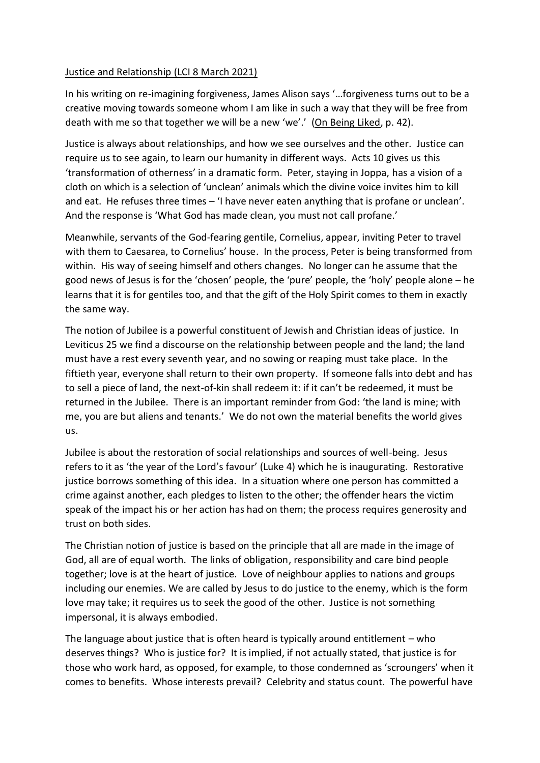## Justice and Relationship (LCI 8 March 2021)

In his writing on re-imagining forgiveness, James Alison says '…forgiveness turns out to be a creative moving towards someone whom I am like in such a way that they will be free from death with me so that together we will be a new 'we'.' (On Being Liked, p. 42).

Justice is always about relationships, and how we see ourselves and the other. Justice can require us to see again, to learn our humanity in different ways. Acts 10 gives us this 'transformation of otherness' in a dramatic form. Peter, staying in Joppa, has a vision of a cloth on which is a selection of 'unclean' animals which the divine voice invites him to kill and eat. He refuses three times – 'I have never eaten anything that is profane or unclean'. And the response is 'What God has made clean, you must not call profane.'

Meanwhile, servants of the God-fearing gentile, Cornelius, appear, inviting Peter to travel with them to Caesarea, to Cornelius' house. In the process, Peter is being transformed from within. His way of seeing himself and others changes. No longer can he assume that the good news of Jesus is for the 'chosen' people, the 'pure' people, the 'holy' people alone – he learns that it is for gentiles too, and that the gift of the Holy Spirit comes to them in exactly the same way.

The notion of Jubilee is a powerful constituent of Jewish and Christian ideas of justice. In Leviticus 25 we find a discourse on the relationship between people and the land; the land must have a rest every seventh year, and no sowing or reaping must take place. In the fiftieth year, everyone shall return to their own property. If someone falls into debt and has to sell a piece of land, the next-of-kin shall redeem it: if it can't be redeemed, it must be returned in the Jubilee. There is an important reminder from God: 'the land is mine; with me, you are but aliens and tenants.' We do not own the material benefits the world gives us.

Jubilee is about the restoration of social relationships and sources of well-being. Jesus refers to it as 'the year of the Lord's favour' (Luke 4) which he is inaugurating. Restorative justice borrows something of this idea. In a situation where one person has committed a crime against another, each pledges to listen to the other; the offender hears the victim speak of the impact his or her action has had on them; the process requires generosity and trust on both sides.

The Christian notion of justice is based on the principle that all are made in the image of God, all are of equal worth. The links of obligation, responsibility and care bind people together; love is at the heart of justice. Love of neighbour applies to nations and groups including our enemies. We are called by Jesus to do justice to the enemy, which is the form love may take; it requires us to seek the good of the other. Justice is not something impersonal, it is always embodied.

The language about justice that is often heard is typically around entitlement – who deserves things? Who is justice for? It is implied, if not actually stated, that justice is for those who work hard, as opposed, for example, to those condemned as 'scroungers' when it comes to benefits. Whose interests prevail? Celebrity and status count. The powerful have